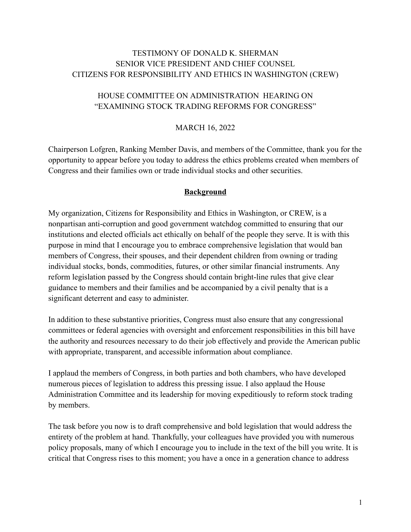# TESTIMONY OF DONALD K. SHERMAN SENIOR VICE PRESIDENT AND CHIEF COUNSEL CITIZENS FOR RESPONSIBILITY AND ETHICS IN WASHINGTON (CREW)

# HOUSE COMMITTEE ON ADMINISTRATION HEARING ON "EXAMINING STOCK TRADING REFORMS FOR CONGRESS"

#### MARCH 16, 2022

Chairperson Lofgren, Ranking Member Davis, and members of the Committee, thank you for the opportunity to appear before you today to address the ethics problems created when members of Congress and their families own or trade individual stocks and other securities.

#### **Background**

My organization, Citizens for Responsibility and Ethics in Washington, or CREW, is a nonpartisan anti-corruption and good government watchdog committed to ensuring that our institutions and elected officials act ethically on behalf of the people they serve. It is with this purpose in mind that I encourage you to embrace comprehensive legislation that would ban members of Congress, their spouses, and their dependent children from owning or trading individual stocks, bonds, commodities, futures, or other similar financial instruments. Any reform legislation passed by the Congress should contain bright-line rules that give clear guidance to members and their families and be accompanied by a civil penalty that is a significant deterrent and easy to administer.

In addition to these substantive priorities, Congress must also ensure that any congressional committees or federal agencies with oversight and enforcement responsibilities in this bill have the authority and resources necessary to do their job effectively and provide the American public with appropriate, transparent, and accessible information about compliance.

I applaud the members of Congress, in both parties and both chambers, who have developed numerous pieces of legislation to address this pressing issue. I also applaud the House Administration Committee and its leadership for moving expeditiously to reform stock trading by members.

The task before you now is to draft comprehensive and bold legislation that would address the entirety of the problem at hand. Thankfully, your colleagues have provided you with numerous policy proposals, many of which I encourage you to include in the text of the bill you write. It is critical that Congress rises to this moment; you have a once in a generation chance to address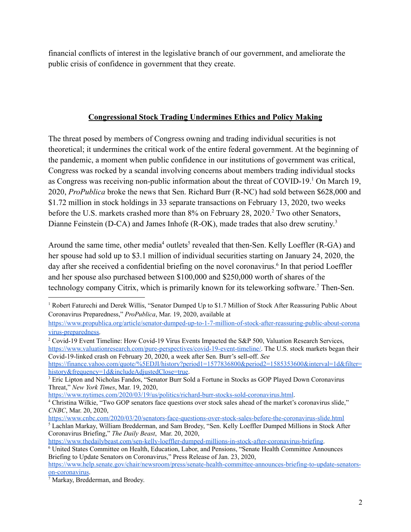financial conflicts of interest in the legislative branch of our government, and ameliorate the public crisis of confidence in government that they create.

## **Congressional Stock Trading Undermines Ethics and Policy Making**

The threat posed by members of Congress owning and trading individual securities is not theoretical; it undermines the critical work of the entire federal government. At the beginning of the pandemic, a moment when public confidence in our institutions of government was critical, Congress was rocked by a scandal involving concerns about members trading individual stocks as Congress was receiving non-public information about the threat of COVID-19.<sup>1</sup> On March 19, 2020, *ProPublica* broke the news that Sen. Richard Burr (R-NC) had sold between \$628,000 and \$1.72 million in stock holdings in 33 separate transactions on February 13, 2020, two weeks before the U.S. markets crashed more than 8% on February 28, 2020.<sup>2</sup> Two other Senators, Dianne Feinstein (D-CA) and James Inhofe (R-OK), made trades that also drew scrutiny.<sup>3</sup>

Around the same time, other media<sup>4</sup> outlets<sup>5</sup> revealed that then-Sen. Kelly Loeffler (R-GA) and her spouse had sold up to \$3.1 million of individual securities starting on January 24, 2020, the day after she received a confidential briefing on the novel coronavirus.<sup>6</sup> In that period Loeffler and her spouse also purchased between \$100,000 and \$250,000 worth of shares of the technology company Citrix, which is primarily known for its teleworking software.<sup>7</sup> Then-Sen.

<sup>1</sup> Robert Faturechi and Derek Willis, "Senator Dumped Up to \$1.7 Million of Stock After Reassuring Public About Coronavirus Preparedness," *ProPublica*, Mar. 19, 2020, available at

[https://www.propublica.org/article/senator-dumped-up-to-1-7-million-of-stock-after-reassuring-public-about-corona](https://www.propublica.org/article/senator-dumped-up-to-1-7-million-of-stock-after-reassuring-public-about-coronavirus-preparedness) [virus-preparedness.](https://www.propublica.org/article/senator-dumped-up-to-1-7-million-of-stock-after-reassuring-public-about-coronavirus-preparedness)

<sup>2</sup> Covid-19 Event Timeline: How Covid-19 Virus Events Impacted the S&P 500, Valuation Research Services, [https://www.valuationresearch.com/pure-perspectives/covid-19-event-timeline/.](https://www.valuationresearch.com/pure-perspectives/covid-19-event-timeline/) The U.S. stock markets began their Covid-19-linked crash on February 20, 2020, a week after Sen. Burr's sell-off. *See*

[https://finance.yahoo.com/quote/%5EDJI/history?period1=1577836800&period2=1585353600&interval=1d&filter=](https://finance.yahoo.com/quote/%5EDJI/history?period1=1577836800&period2=1585353600&interval=1d&filter=history&frequency=1d&includeAdjustedClose=true) [history&frequency=1d&includeAdjustedClose=true](https://finance.yahoo.com/quote/%5EDJI/history?period1=1577836800&period2=1585353600&interval=1d&filter=history&frequency=1d&includeAdjustedClose=true).

<sup>&</sup>lt;sup>3</sup> Eric Lipton and Nicholas Fandos, "Senator Burr Sold a Fortune in Stocks as GOP Played Down Coronavirus Threat," *New York Times*, Mar. 19, 2020,

<https://www.nytimes.com/2020/03/19/us/politics/richard-burr-stocks-sold-coronavirus.html>.

<sup>4</sup> Christina Wilkie, "Two GOP senators face questions over stock sales ahead of the market's coronavirus slide," *CNBC*, Mar. 20, 2020,

<https://www.cnbc.com/2020/03/20/senators-face-questions-over-stock-sales-before-the-coronavirus-slide.html>

<sup>5</sup> Lachlan Markay, William Bredderman, and Sam Brodey, "Sen. Kelly Loeffler Dumped Millions in Stock After Coronavirus Briefing," *The Daily Beast*, Mar. 20, 2020,

[https://www.thedailybeast.com/sen-kelly-loeffler-dumped-millions-in-stock-after-coronavirus-briefing.](https://www.thedailybeast.com/sen-kelly-loeffler-dumped-millions-in-stock-after-coronavirus-briefing)

<sup>6</sup> United States Committee on Health, Education, Labor, and Pensions, "Senate Health Committee Announces Briefing to Update Senators on Coronavirus," Press Release of Jan. 23, 2020,

[https://www.help.senate.gov/chair/newsroom/press/senate-health-committee-announces-briefing-to-update-senators](https://www.help.senate.gov/chair/newsroom/press/senate-health-committee-announces-briefing-to-update-senators-on-coronavirus)[on-coronavirus.](https://www.help.senate.gov/chair/newsroom/press/senate-health-committee-announces-briefing-to-update-senators-on-coronavirus)

<sup>7</sup> Markay, Bredderman, and Brodey.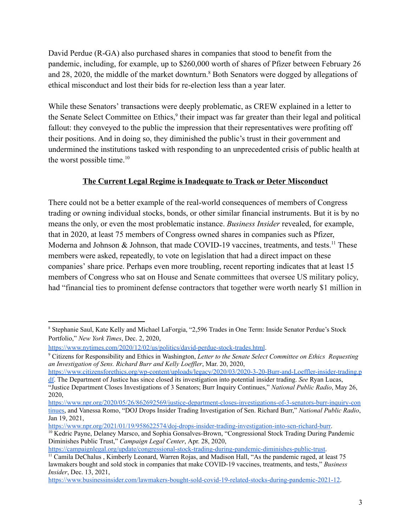David Perdue (R-GA) also purchased shares in companies that stood to benefit from the pandemic, including, for example, up to \$260,000 worth of shares of Pfizer between February 26 and 28, 2020, the middle of the market downturn.<sup>8</sup> Both Senators were dogged by allegations of ethical misconduct and lost their bids for re-election less than a year later.

While these Senators' transactions were deeply problematic, as CREW explained in a letter to the Senate Select Committee on Ethics,<sup>9</sup> their impact was far greater than their legal and political fallout: they conveyed to the public the impression that their representatives were profiting off their positions. And in doing so, they diminished the public's trust in their government and undermined the institutions tasked with responding to an unprecedented crisis of public health at the worst possible time.<sup>10</sup>

# **The Current Legal Regime is Inadequate to Track or Deter Misconduct**

There could not be a better example of the real-world consequences of members of Congress trading or owning individual stocks, bonds, or other similar financial instruments. But it is by no means the only, or even the most problematic instance. *Business Insider* revealed, for example, that in 2020, at least 75 members of Congress owned shares in companies such as Pfizer, Moderna and Johnson & Johnson, that made COVID-19 vaccines, treatments, and tests.<sup>11</sup> These members were asked, repeatedly, to vote on legislation that had a direct impact on these companies' share price. Perhaps even more troubling, recent reporting indicates that at least 15 members of Congress who sat on House and Senate committees that oversee US military policy, had "financial ties to prominent defense contractors that together were worth nearly \$1 million in

<https://campaignlegal.org/update/congressional-stock-trading-during-pandemic-diminishes-public-trust>.

<sup>8</sup> Stephanie Saul, Kate Kelly and Michael LaForgia, "2,596 Trades in One Term: Inside Senator Perdue's Stock Portfolio," *New York Times*, Dec. 2, 2020,

<https://www.nytimes.com/2020/12/02/us/politics/david-perdue-stock-trades.html>.

<sup>9</sup> Citizens for Responsibility and Ethics in Washington, *Letter to the Senate Select Committee on Ethics Requesting an Investigation of Sens. Richard Burr and Kelly Loef ler*, Mar. 20, 2020,

[https://www.citizensforethics.org/wp-content/uploads/legacy/2020/03/2020-3-20-Burr-and-Loeffler-insider-trading.p](https://www.citizensforethics.org/wp-content/uploads/legacy/2020/03/2020-3-20-Burr-and-Loeffler-insider-trading.pdf) [df](https://www.citizensforethics.org/wp-content/uploads/legacy/2020/03/2020-3-20-Burr-and-Loeffler-insider-trading.pdf). The Department of Justice has since closed its investigation into potential insider trading. *See* Ryan Lucas, "Justice Department Closes Investigations of 3 Senators; Burr Inquiry Continues," *National Public Radio*, May 26, 2020,

[https://www.npr.org/2020/05/26/862692569/justice-department-closes-investigations-of-3-senators-burr-inquiry-con](https://www.npr.org/2020/05/26/862692569/justice-department-closes-investigations-of-3-senators-burr-inquiry-continues) [tinues,](https://www.npr.org/2020/05/26/862692569/justice-department-closes-investigations-of-3-senators-burr-inquiry-continues) and Vanessa Romo, "DOJ Drops Insider Trading Investigation of Sen. Richard Burr," *National Public Radio*, Jan 19, 2021,

<https://www.npr.org/2021/01/19/958622574/doj-drops-insider-trading-investigation-into-sen-richard-burr>.

<sup>&</sup>lt;sup>10</sup> Kedric Payne, Delaney Marsco, and Sophia Gonsalves-Brown, "Congressional Stock Trading During Pandemic Diminishes Public Trust," *Campaign Legal Center*, Apr. 28, 2020,

<sup>&</sup>lt;sup>11</sup> Camila DeChalus , Kimberly Leonard, Warren Rojas, and Madison Hall, "As the pandemic raged, at least 75 lawmakers bought and sold stock in companies that make COVID-19 vaccines, treatments, and tests," *Business Insider*, Dec. 13, 2021,

[https://www.businessinsider.com/lawmakers-bought-sold-covid-19-related-stocks-during-pandemic-2021-12.](https://www.businessinsider.com/lawmakers-bought-sold-covid-19-related-stocks-during-pandemic-2021-12)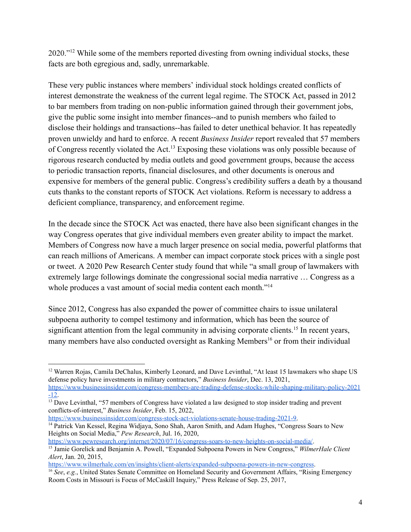2020."<sup>12</sup> While some of the members reported divesting from owning individual stocks, these facts are both egregious and, sadly, unremarkable.

These very public instances where members' individual stock holdings created conflicts of interest demonstrate the weakness of the current legal regime. The STOCK Act, passed in 2012 to bar members from trading on non-public information gained through their government jobs, give the public some insight into member finances--and to punish members who failed to disclose their holdings and transactions--has failed to deter unethical behavior. It has repeatedly proven unwieldy and hard to enforce. A recent *Business Insider* report revealed that 57 members of Congress recently violated the Act.<sup>13</sup> Exposing these violations was only possible because of rigorous research conducted by media outlets and good government groups, because the access to periodic transaction reports, financial disclosures, and other documents is onerous and expensive for members of the general public. Congress's credibility suffers a death by a thousand cuts thanks to the constant reports of STOCK Act violations. Reform is necessary to address a deficient compliance, transparency, and enforcement regime.

In the decade since the STOCK Act was enacted, there have also been significant changes in the way Congress operates that give individual members even greater ability to impact the market. Members of Congress now have a much larger presence on social media, powerful platforms that can reach millions of Americans. A member can impact corporate stock prices with a single post or tweet. A 2020 Pew Research Center study found that while "a small group of lawmakers with extremely large followings dominate the congressional social media narrative … Congress as a whole produces a vast amount of social media content each month."<sup>14</sup>

Since 2012, Congress has also expanded the power of committee chairs to issue unilateral subpoena authority to compel testimony and information, which has been the source of significant attention from the legal community in advising corporate clients.<sup>15</sup> In recent years, many members have also conducted oversight as Ranking Members<sup>16</sup> or from their individual

[https://www.businessinsider.com/congress-stock-act-violations-senate-house-trading-2021-9.](https://www.businessinsider.com/congress-stock-act-violations-senate-house-trading-2021-9)

[https://www.pewresearch.org/internet/2020/07/16/congress-soars-to-new-heights-on-social-media/.](https://www.pewresearch.org/internet/2020/07/16/congress-soars-to-new-heights-on-social-media/)

<sup>&</sup>lt;sup>12</sup> Warren Rojas, Camila DeChalus, Kimberly Leonard, and Dave Levinthal, "At least 15 lawmakers who shape US defense policy have investments in military contractors," *Business Insider*, Dec. 13, 2021,

[https://www.businessinsider.com/congress-members-are-trading-defense-stocks-while-shaping-military-policy-2021](https://www.businessinsider.com/congress-members-are-trading-defense-stocks-while-shaping-military-policy-2021-12)  $-12.$ 

<sup>&</sup>lt;sup>13</sup> Dave Levinthal, "57 members of Congress have violated a law designed to stop insider trading and prevent conflicts-of-interest," *Business Insider*, Feb. 15, 2022,

<sup>&</sup>lt;sup>14</sup> Patrick Van Kessel, Regina Widjaya, Sono Shah, Aaron Smith, and Adam Hughes, "Congress Soars to New Heights on Social Media," *Pew Research*, Jul. 16, 2020,

<sup>15</sup> Jamie Gorelick and Benjamin A. Powell, "Expanded Subpoena Powers in New Congress," *WilmerHale Client Alert*, Jan. 20, 2015,

[https://www.wilmerhale.com/en/insights/client-alerts/expanded-subpoena-powers-in-new-congress.](https://www.wilmerhale.com/en/insights/client-alerts/expanded-subpoena-powers-in-new-congress)

<sup>16</sup> *See*, *e.g.*, United States Senate Committee on Homeland Security and Government Affairs, "Rising Emergency Room Costs in Missouri is Focus of McCaskill Inquiry," Press Release of Sep. 25, 2017,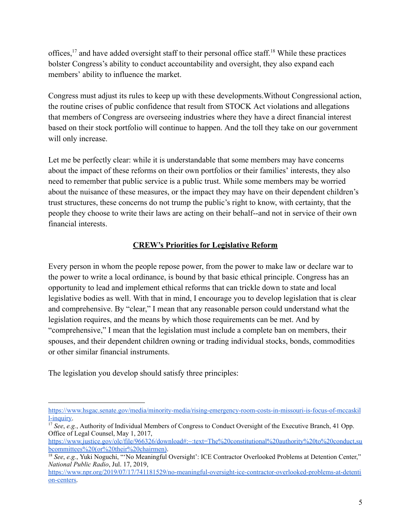offices,<sup>17</sup> and have added oversight staff to their personal office staff.<sup>18</sup> While these practices bolster Congress's ability to conduct accountability and oversight, they also expand each members' ability to influence the market.

Congress must adjust its rules to keep up with these developments.Without Congressional action, the routine crises of public confidence that result from STOCK Act violations and allegations that members of Congress are overseeing industries where they have a direct financial interest based on their stock portfolio will continue to happen. And the toll they take on our government will only increase.

Let me be perfectly clear: while it is understandable that some members may have concerns about the impact of these reforms on their own portfolios or their families' interests, they also need to remember that public service is a public trust. While some members may be worried about the nuisance of these measures, or the impact they may have on their dependent children's trust structures, these concerns do not trump the public's right to know, with certainty, that the people they choose to write their laws are acting on their behalf--and not in service of their own financial interests.

## **CREW's Priorities for Legislative Reform**

Every person in whom the people repose power, from the power to make law or declare war to the power to write a local ordinance, is bound by that basic ethical principle. Congress has an opportunity to lead and implement ethical reforms that can trickle down to state and local legislative bodies as well. With that in mind, I encourage you to develop legislation that is clear and comprehensive. By "clear," I mean that any reasonable person could understand what the legislation requires, and the means by which those requirements can be met. And by "comprehensive," I mean that the legislation must include a complete ban on members, their spouses, and their dependent children owning or trading individual stocks, bonds, commodities or other similar financial instruments.

The legislation you develop should satisfy three principles:

[https://www.hsgac.senate.gov/media/minority-media/rising-emergency-room-costs-in-missouri-is-focus-of-mccaskil](https://www.hsgac.senate.gov/media/minority-media/rising-emergency-room-costs-in-missouri-is-focus-of-mccaskill-inquiry) [l-inquiry.](https://www.hsgac.senate.gov/media/minority-media/rising-emergency-room-costs-in-missouri-is-focus-of-mccaskill-inquiry)

<sup>&</sup>lt;sup>17</sup> *See*, *e.g.*, Authority of Individual Members of Congress to Conduct Oversight of the Executive Branch, 41 Opp. Office of Legal Counsel, May 1, 2017,

[https://www.justice.gov/olc/file/966326/download#:~:text=The%20constitutional%20authority%20to%20conduct,su](https://www.justice.gov/olc/file/966326/download#:~:text=The%20constitutional%20authority%20to%20conduct,subcommittees%20(or%20their%20chairmen)) [bcommittees%20\(or%20their%20chairmen\)](https://www.justice.gov/olc/file/966326/download#:~:text=The%20constitutional%20authority%20to%20conduct,subcommittees%20(or%20their%20chairmen)).

<sup>18</sup> *See*, *e.g.*, Yuki Noguchi, "'No Meaningful Oversight': ICE Contractor Overlooked Problems at Detention Center," *National Public Radio*, Jul. 17, 2019,

[https://www.npr.org/2019/07/17/741181529/no-meaningful-oversight-ice-contractor-overlooked-problems-at-detenti](https://www.npr.org/2019/07/17/741181529/no-meaningful-oversight-ice-contractor-overlooked-problems-at-detention-centers) [on-centers.](https://www.npr.org/2019/07/17/741181529/no-meaningful-oversight-ice-contractor-overlooked-problems-at-detention-centers)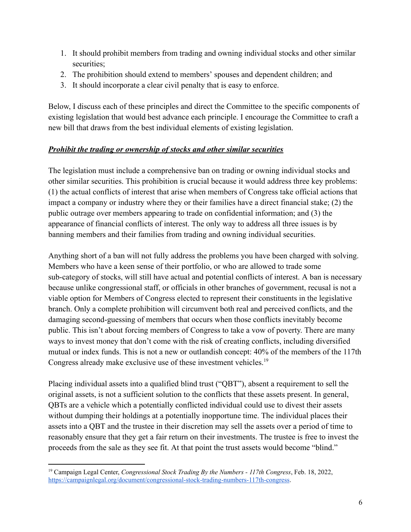- 1. It should prohibit members from trading and owning individual stocks and other similar securities;
- 2. The prohibition should extend to members' spouses and dependent children; and
- 3. It should incorporate a clear civil penalty that is easy to enforce.

Below, I discuss each of these principles and direct the Committee to the specific components of existing legislation that would best advance each principle. I encourage the Committee to craft a new bill that draws from the best individual elements of existing legislation.

### *Prohibit the trading or ownership of stocks and other similar securities*

The legislation must include a comprehensive ban on trading or owning individual stocks and other similar securities. This prohibition is crucial because it would address three key problems: (1) the actual conflicts of interest that arise when members of Congress take official actions that impact a company or industry where they or their families have a direct financial stake; (2) the public outrage over members appearing to trade on confidential information; and (3) the appearance of financial conflicts of interest. The only way to address all three issues is by banning members and their families from trading and owning individual securities.

Anything short of a ban will not fully address the problems you have been charged with solving. Members who have a keen sense of their portfolio, or who are allowed to trade some sub-category of stocks, will still have actual and potential conflicts of interest. A ban is necessary because unlike congressional staff, or officials in other branches of government, recusal is not a viable option for Members of Congress elected to represent their constituents in the legislative branch. Only a complete prohibition will circumvent both real and perceived conflicts, and the damaging second-guessing of members that occurs when those conflicts inevitably become public. This isn't about forcing members of Congress to take a vow of poverty. There are many ways to invest money that don't come with the risk of creating conflicts, including diversified mutual or index funds. This is not a new or outlandish concept: 40% of the members of the 117th Congress already make exclusive use of these investment vehicles.<sup>19</sup>

Placing individual assets into a qualified blind trust ("QBT"), absent a requirement to sell the original assets, is not a sufficient solution to the conflicts that these assets present. In general, QBTs are a vehicle which a potentially conflicted individual could use to divest their assets without dumping their holdings at a potentially inopportune time. The individual places their assets into a QBT and the trustee in their discretion may sell the assets over a period of time to reasonably ensure that they get a fair return on their investments. The trustee is free to invest the proceeds from the sale as they see fit. At that point the trust assets would become "blind."

<sup>19</sup> Campaign Legal Center, *Congressional Stock Trading By the Numbers - 117th Congress*, Feb. 18, 2022, <https://campaignlegal.org/document/congressional-stock-trading-numbers-117th-congress>.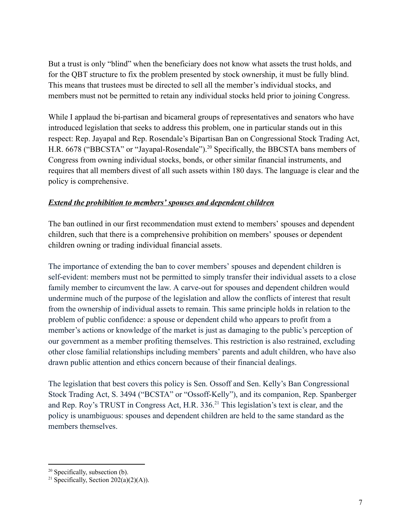But a trust is only "blind" when the beneficiary does not know what assets the trust holds, and for the QBT structure to fix the problem presented by stock ownership, it must be fully blind. This means that trustees must be directed to sell all the member's individual stocks, and members must not be permitted to retain any individual stocks held prior to joining Congress.

While I applaud the bi-partisan and bicameral groups of representatives and senators who have introduced legislation that seeks to address this problem, one in particular stands out in this respect: Rep. Jayapal and Rep. Rosendale's Bipartisan Ban on Congressional Stock Trading Act, H.R. 6678 ("BBCSTA" or "Jayapal-Rosendale").<sup>20</sup> Specifically, the BBCSTA bans members of Congress from owning individual stocks, bonds, or other similar financial instruments, and requires that all members divest of all such assets within 180 days. The language is clear and the policy is comprehensive.

## *Extend the prohibition to members' spouses and dependent children*

The ban outlined in our first recommendation must extend to members' spouses and dependent children, such that there is a comprehensive prohibition on members' spouses or dependent children owning or trading individual financial assets.

The importance of extending the ban to cover members' spouses and dependent children is self-evident: members must not be permitted to simply transfer their individual assets to a close family member to circumvent the law. A carve-out for spouses and dependent children would undermine much of the purpose of the legislation and allow the conflicts of interest that result from the ownership of individual assets to remain. This same principle holds in relation to the problem of public confidence: a spouse or dependent child who appears to profit from a member's actions or knowledge of the market is just as damaging to the public's perception of our government as a member profiting themselves. This restriction is also restrained, excluding other close familial relationships including members' parents and adult children, who have also drawn public attention and ethics concern because of their financial dealings.

The legislation that best covers this policy is Sen. Ossoff and Sen. Kelly's Ban Congressional Stock Trading Act, S. 3494 ("BCSTA" or "Ossoff-Kelly"), and its companion, Rep. Spanberger and Rep. Roy's TRUST in Congress Act, H.R. 336.<sup>21</sup> This legislation's text is clear, and the policy is unambiguous: spouses and dependent children are held to the same standard as the members themselves.

 $20$  Specifically, subsection (b).

<sup>&</sup>lt;sup>21</sup> Specifically, Section  $202(a)(2)(A)$ ).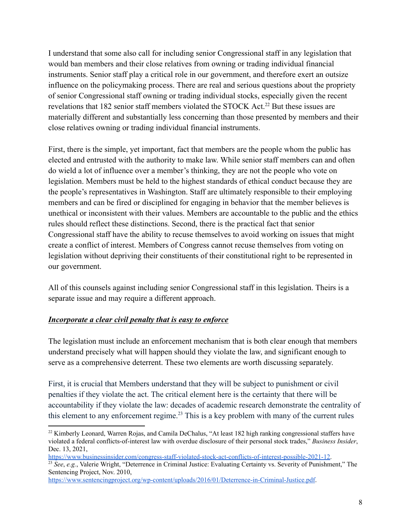I understand that some also call for including senior Congressional staff in any legislation that would ban members and their close relatives from owning or trading individual financial instruments. Senior staff play a critical role in our government, and therefore exert an outsize influence on the policymaking process. There are real and serious questions about the propriety of senior Congressional staff owning or trading individual stocks, especially given the recent revelations that 182 senior staff members violated the STOCK Act.<sup>22</sup> But these issues are materially different and substantially less concerning than those presented by members and their close relatives owning or trading individual financial instruments.

First, there is the simple, yet important, fact that members are the people whom the public has elected and entrusted with the authority to make law. While senior staff members can and often do wield a lot of influence over a member's thinking, they are not the people who vote on legislation. Members must be held to the highest standards of ethical conduct because they are the people's representatives in Washington. Staff are ultimately responsible to their employing members and can be fired or disciplined for engaging in behavior that the member believes is unethical or inconsistent with their values. Members are accountable to the public and the ethics rules should reflect these distinctions. Second, there is the practical fact that senior Congressional staff have the ability to recuse themselves to avoid working on issues that might create a conflict of interest. Members of Congress cannot recuse themselves from voting on legislation without depriving their constituents of their constitutional right to be represented in our government.

All of this counsels against including senior Congressional staff in this legislation. Theirs is a separate issue and may require a different approach.

### *Incorporate a clear civil penalty that is easy to enforce*

The legislation must include an enforcement mechanism that is both clear enough that members understand precisely what will happen should they violate the law, and significant enough to serve as a comprehensive deterrent. These two elements are worth discussing separately.

First, it is crucial that Members understand that they will be subject to punishment or civil penalties if they violate the act. The critical element here is the certainty that there will be accountability if they violate the law: decades of academic research demonstrate the centrality of this element to any enforcement regime.<sup>23</sup> This is a key problem with many of the current rules

<sup>23</sup> See, e.g., Valerie Wright, "Deterrence in Criminal Justice: Evaluating Certainty vs. Severity of Punishment," The Sentencing Project, Nov. 2010,

<sup>&</sup>lt;sup>22</sup> Kimberly Leonard, Warren Rojas, and Camila DeChalus, "At least 182 high ranking congressional staffers have violated a federal conflicts-of-interest law with overdue disclosure of their personal stock trades," *Business Insider*, Dec. 13, 2021,

<https://www.businessinsider.com/congress-staff-violated-stock-act-conflicts-of-interest-possible-2021-12>.

[https://www.sentencingproject.org/wp-content/uploads/2016/01/Deterrence-in-Criminal-Justice.pdf.](https://www.sentencingproject.org/wp-content/uploads/2016/01/Deterrence-in-Criminal-Justice.pdf)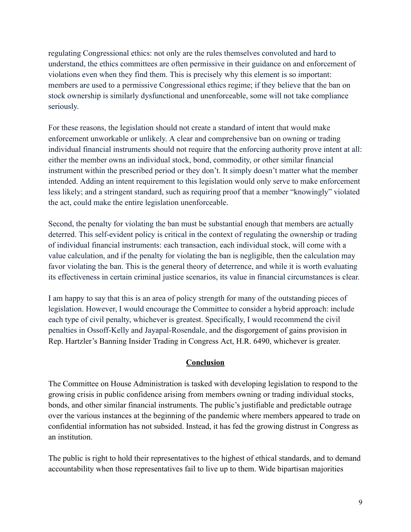regulating Congressional ethics: not only are the rules themselves convoluted and hard to understand, the ethics committees are often permissive in their guidance on and enforcement of violations even when they find them. This is precisely why this element is so important: members are used to a permissive Congressional ethics regime; if they believe that the ban on stock ownership is similarly dysfunctional and unenforceable, some will not take compliance seriously.

For these reasons, the legislation should not create a standard of intent that would make enforcement unworkable or unlikely. A clear and comprehensive ban on owning or trading individual financial instruments should not require that the enforcing authority prove intent at all: either the member owns an individual stock, bond, commodity, or other similar financial instrument within the prescribed period or they don't. It simply doesn't matter what the member intended. Adding an intent requirement to this legislation would only serve to make enforcement less likely; and a stringent standard, such as requiring proof that a member "knowingly" violated the act, could make the entire legislation unenforceable.

Second, the penalty for violating the ban must be substantial enough that members are actually deterred. This self-evident policy is critical in the context of regulating the ownership or trading of individual financial instruments: each transaction, each individual stock, will come with a value calculation, and if the penalty for violating the ban is negligible, then the calculation may favor violating the ban. This is the general theory of deterrence, and while it is worth evaluating its effectiveness in certain criminal justice scenarios, its value in financial circumstances is clear.

I am happy to say that this is an area of policy strength for many of the outstanding pieces of legislation. However, I would encourage the Committee to consider a hybrid approach: include each type of civil penalty, whichever is greatest. Specifically, I would recommend the civil penalties in Ossoff-Kelly and Jayapal-Rosendale, and the disgorgement of gains provision in Rep. Hartzler's Banning Insider Trading in Congress Act, H.R. 6490, whichever is greater.

#### **Conclusion**

The Committee on House Administration is tasked with developing legislation to respond to the growing crisis in public confidence arising from members owning or trading individual stocks, bonds, and other similar financial instruments. The public's justifiable and predictable outrage over the various instances at the beginning of the pandemic where members appeared to trade on confidential information has not subsided. Instead, it has fed the growing distrust in Congress as an institution.

The public is right to hold their representatives to the highest of ethical standards, and to demand accountability when those representatives fail to live up to them. Wide bipartisan majorities